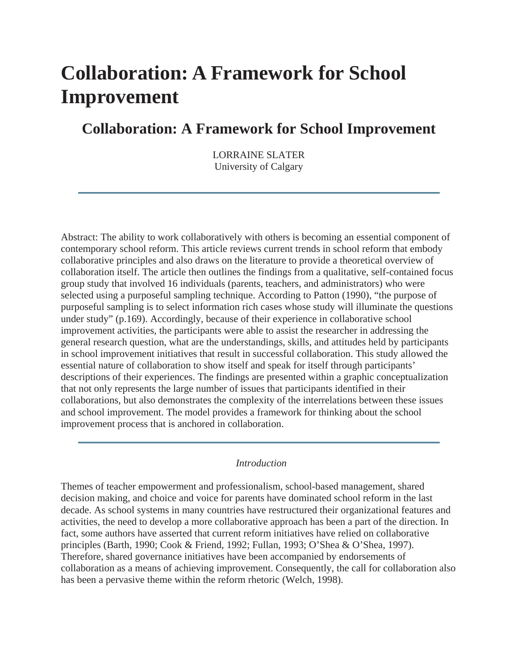# **Collaboration: A Framework for School Improvement**

# **Collaboration: A Framework for School Improvement**

LORRAINE SLATER University of Calgary

Abstract: The ability to work collaboratively with others is becoming an essential component of contemporary school reform. This article reviews current trends in school reform that embody collaborative principles and also draws on the literature to provide a theoretical overview of collaboration itself. The article then outlines the findings from a qualitative, self-contained focus group study that involved 16 individuals (parents, teachers, and administrators) who were selected using a purposeful sampling technique. According to Patton (1990), "the purpose of purposeful sampling is to select information rich cases whose study will illuminate the questions under study" (p.169). Accordingly, because of their experience in collaborative school improvement activities, the participants were able to assist the researcher in addressing the general research question, what are the understandings, skills, and attitudes held by participants in school improvement initiatives that result in successful collaboration. This study allowed the essential nature of collaboration to show itself and speak for itself through participants' descriptions of their experiences. The findings are presented within a graphic conceptualization that not only represents the large number of issues that participants identified in their collaborations, but also demonstrates the complexity of the interrelations between these issues and school improvement. The model provides a framework for thinking about the school improvement process that is anchored in collaboration.

## *Introduction*

Themes of teacher empowerment and professionalism, school-based management, shared decision making, and choice and voice for parents have dominated school reform in the last decade. As school systems in many countries have restructured their organizational features and activities, the need to develop a more collaborative approach has been a part of the direction. In fact, some authors have asserted that current reform initiatives have relied on collaborative principles (Barth, 1990; Cook & Friend, 1992; Fullan, 1993; O'Shea & O'Shea, 1997). Therefore, shared governance initiatives have been accompanied by endorsements of collaboration as a means of achieving improvement. Consequently, the call for collaboration also has been a pervasive theme within the reform rhetoric (Welch, 1998).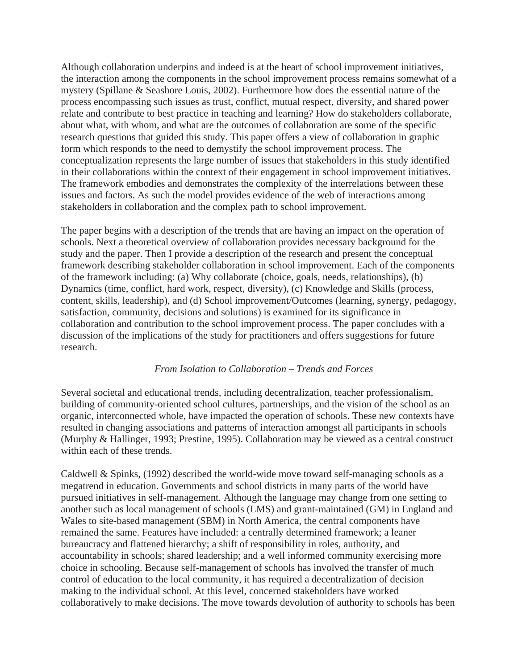Although collaboration underpins and indeed is at the heart of school improvement initiatives, the interaction among the components in the school improvement process remains somewhat of a mystery (Spillane & Seashore Louis, 2002). Furthermore how does the essential nature of the process encompassing such issues as trust, conflict, mutual respect, diversity, and shared power relate and contribute to best practice in teaching and learning? How do stakeholders collaborate, about what, with whom, and what are the outcomes of collaboration are some of the specific research questions that guided this study. This paper offers a view of collaboration in graphic form which responds to the need to demystify the school improvement process. The conceptualization represents the large number of issues that stakeholders in this study identified in their collaborations within the context of their engagement in school improvement initiatives. The framework embodies and demonstrates the complexity of the interrelations between these issues and factors. As such the model provides evidence of the web of interactions among stakeholders in collaboration and the complex path to school improvement.

The paper begins with a description of the trends that are having an impact on the operation of schools. Next a theoretical overview of collaboration provides necessary background for the study and the paper. Then I provide a description of the research and present the conceptual framework describing stakeholder collaboration in school improvement. Each of the components of the framework including: (a) Why collaborate (choice, goals, needs, relationships), (b) Dynamics (time, conflict, hard work, respect, diversity), (c) Knowledge and Skills (process, content, skills, leadership), and (d) School improvement/Outcomes (learning, synergy, pedagogy, satisfaction, community, decisions and solutions) is examined for its significance in collaboration and contribution to the school improvement process. The paper concludes with a discussion of the implications of the study for practitioners and offers suggestions for future research.

## *From Isolation to Collaboration – Trends and Forces*

Several societal and educational trends, including decentralization, teacher professionalism, building of community-oriented school cultures, partnerships, and the vision of the school as an organic, interconnected whole, have impacted the operation of schools. These new contexts have resulted in changing associations and patterns of interaction amongst all participants in schools (Murphy & Hallinger, 1993; Prestine, 1995). Collaboration may be viewed as a central construct within each of these trends.

Caldwell & Spinks, (1992) described the world-wide move toward self-managing schools as a megatrend in education. Governments and school districts in many parts of the world have pursued initiatives in self-management. Although the language may change from one setting to another such as local management of schools (LMS) and grant-maintained (GM) in England and Wales to site-based management (SBM) in North America, the central components have remained the same. Features have included: a centrally determined framework; a leaner bureaucracy and flattened hierarchy; a shift of responsibility in roles, authority, and accountability in schools; shared leadership; and a well informed community exercising more choice in schooling. Because self-management of schools has involved the transfer of much control of education to the local community, it has required a decentralization of decision making to the individual school. At this level, concerned stakeholders have worked collaboratively to make decisions. The move towards devolution of authority to schools has been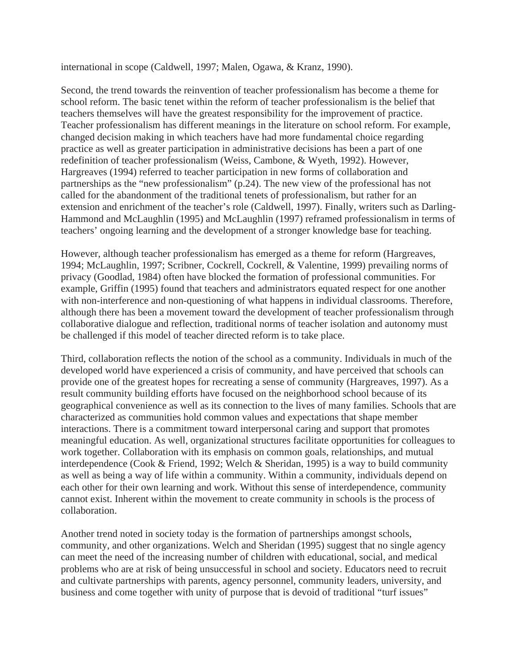international in scope (Caldwell, 1997; Malen, Ogawa, & Kranz, 1990).

Second, the trend towards the reinvention of teacher professionalism has become a theme for school reform. The basic tenet within the reform of teacher professionalism is the belief that teachers themselves will have the greatest responsibility for the improvement of practice. Teacher professionalism has different meanings in the literature on school reform. For example, changed decision making in which teachers have had more fundamental choice regarding practice as well as greater participation in administrative decisions has been a part of one redefinition of teacher professionalism (Weiss, Cambone, & Wyeth, 1992). However, Hargreaves (1994) referred to teacher participation in new forms of collaboration and partnerships as the "new professionalism" (p.24). The new view of the professional has not called for the abandonment of the traditional tenets of professionalism, but rather for an extension and enrichment of the teacher's role (Caldwell, 1997). Finally, writers such as Darling-Hammond and McLaughlin (1995) and McLaughlin (1997) reframed professionalism in terms of teachers' ongoing learning and the development of a stronger knowledge base for teaching.

However, although teacher professionalism has emerged as a theme for reform (Hargreaves, 1994; McLaughlin, 1997; Scribner, Cockrell, Cockrell, & Valentine, 1999) prevailing norms of privacy (Goodlad, 1984) often have blocked the formation of professional communities. For example, Griffin (1995) found that teachers and administrators equated respect for one another with non-interference and non-questioning of what happens in individual classrooms. Therefore, although there has been a movement toward the development of teacher professionalism through collaborative dialogue and reflection, traditional norms of teacher isolation and autonomy must be challenged if this model of teacher directed reform is to take place.

Third, collaboration reflects the notion of the school as a community. Individuals in much of the developed world have experienced a crisis of community, and have perceived that schools can provide one of the greatest hopes for recreating a sense of community (Hargreaves, 1997). As a result community building efforts have focused on the neighborhood school because of its geographical convenience as well as its connection to the lives of many families. Schools that are characterized as communities hold common values and expectations that shape member interactions. There is a commitment toward interpersonal caring and support that promotes meaningful education. As well, organizational structures facilitate opportunities for colleagues to work together. Collaboration with its emphasis on common goals, relationships, and mutual interdependence (Cook & Friend, 1992; Welch & Sheridan, 1995) is a way to build community as well as being a way of life within a community. Within a community, individuals depend on each other for their own learning and work. Without this sense of interdependence, community cannot exist. Inherent within the movement to create community in schools is the process of collaboration.

Another trend noted in society today is the formation of partnerships amongst schools, community, and other organizations. Welch and Sheridan (1995) suggest that no single agency can meet the need of the increasing number of children with educational, social, and medical problems who are at risk of being unsuccessful in school and society. Educators need to recruit and cultivate partnerships with parents, agency personnel, community leaders, university, and business and come together with unity of purpose that is devoid of traditional "turf issues"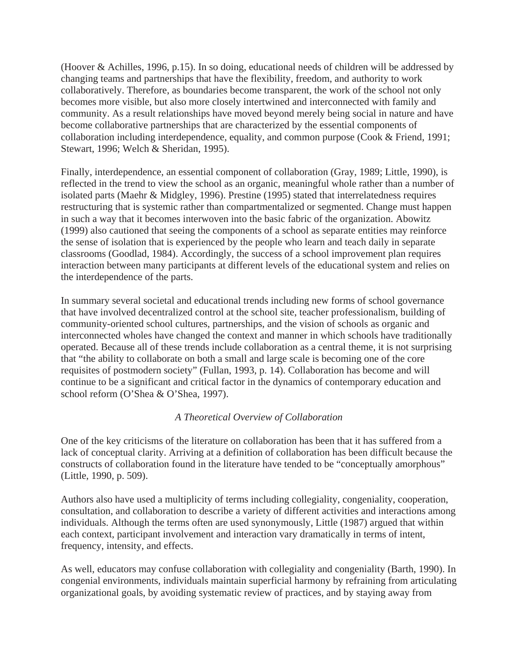(Hoover & Achilles, 1996, p.15). In so doing, educational needs of children will be addressed by changing teams and partnerships that have the flexibility, freedom, and authority to work collaboratively. Therefore, as boundaries become transparent, the work of the school not only becomes more visible, but also more closely intertwined and interconnected with family and community. As a result relationships have moved beyond merely being social in nature and have become collaborative partnerships that are characterized by the essential components of collaboration including interdependence, equality, and common purpose (Cook & Friend, 1991; Stewart, 1996; Welch & Sheridan, 1995).

Finally, interdependence, an essential component of collaboration (Gray, 1989; Little, 1990), is reflected in the trend to view the school as an organic, meaningful whole rather than a number of isolated parts (Maehr & Midgley, 1996). Prestine (1995) stated that interrelatedness requires restructuring that is systemic rather than compartmentalized or segmented. Change must happen in such a way that it becomes interwoven into the basic fabric of the organization. Abowitz (1999) also cautioned that seeing the components of a school as separate entities may reinforce the sense of isolation that is experienced by the people who learn and teach daily in separate classrooms (Goodlad, 1984). Accordingly, the success of a school improvement plan requires interaction between many participants at different levels of the educational system and relies on the interdependence of the parts.

In summary several societal and educational trends including new forms of school governance that have involved decentralized control at the school site, teacher professionalism, building of community-oriented school cultures, partnerships, and the vision of schools as organic and interconnected wholes have changed the context and manner in which schools have traditionally operated. Because all of these trends include collaboration as a central theme, it is not surprising that "the ability to collaborate on both a small and large scale is becoming one of the core requisites of postmodern society" (Fullan, 1993, p. 14). Collaboration has become and will continue to be a significant and critical factor in the dynamics of contemporary education and school reform (O'Shea & O'Shea, 1997).

# *A Theoretical Overview of Collaboration*

One of the key criticisms of the literature on collaboration has been that it has suffered from a lack of conceptual clarity. Arriving at a definition of collaboration has been difficult because the constructs of collaboration found in the literature have tended to be "conceptually amorphous" (Little, 1990, p. 509).

Authors also have used a multiplicity of terms including collegiality, congeniality, cooperation, consultation, and collaboration to describe a variety of different activities and interactions among individuals. Although the terms often are used synonymously, Little (1987) argued that within each context, participant involvement and interaction vary dramatically in terms of intent, frequency, intensity, and effects.

As well, educators may confuse collaboration with collegiality and congeniality (Barth, 1990). In congenial environments, individuals maintain superficial harmony by refraining from articulating organizational goals, by avoiding systematic review of practices, and by staying away from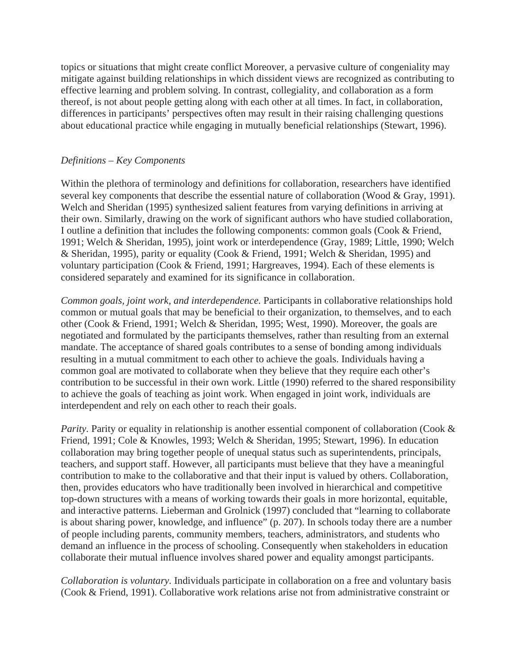topics or situations that might create conflict Moreover, a pervasive culture of congeniality may mitigate against building relationships in which dissident views are recognized as contributing to effective learning and problem solving. In contrast, collegiality, and collaboration as a form thereof, is not about people getting along with each other at all times. In fact, in collaboration, differences in participants' perspectives often may result in their raising challenging questions about educational practice while engaging in mutually beneficial relationships (Stewart, 1996).

#### *Definitions – Key Components*

Within the plethora of terminology and definitions for collaboration, researchers have identified several key components that describe the essential nature of collaboration (Wood & Gray, 1991). Welch and Sheridan (1995) synthesized salient features from varying definitions in arriving at their own. Similarly, drawing on the work of significant authors who have studied collaboration, I outline a definition that includes the following components: common goals (Cook & Friend, 1991; Welch & Sheridan, 1995), joint work or interdependence (Gray, 1989; Little, 1990; Welch & Sheridan, 1995), parity or equality (Cook & Friend, 1991; Welch & Sheridan, 1995) and voluntary participation (Cook & Friend, 1991; Hargreaves, 1994). Each of these elements is considered separately and examined for its significance in collaboration.

*Common goals, joint work, and interdependence.* Participants in collaborative relationships hold common or mutual goals that may be beneficial to their organization, to themselves, and to each other (Cook & Friend, 1991; Welch & Sheridan, 1995; West, 1990). Moreover, the goals are negotiated and formulated by the participants themselves, rather than resulting from an external mandate. The acceptance of shared goals contributes to a sense of bonding among individuals resulting in a mutual commitment to each other to achieve the goals. Individuals having a common goal are motivated to collaborate when they believe that they require each other's contribution to be successful in their own work. Little (1990) referred to the shared responsibility to achieve the goals of teaching as joint work. When engaged in joint work, individuals are interdependent and rely on each other to reach their goals.

*Parity.* Parity or equality in relationship is another essential component of collaboration (Cook & Friend, 1991; Cole & Knowles, 1993; Welch & Sheridan, 1995; Stewart, 1996). In education collaboration may bring together people of unequal status such as superintendents, principals, teachers, and support staff. However, all participants must believe that they have a meaningful contribution to make to the collaborative and that their input is valued by others. Collaboration, then, provides educators who have traditionally been involved in hierarchical and competitive top-down structures with a means of working towards their goals in more horizontal, equitable, and interactive patterns. Lieberman and Grolnick (1997) concluded that "learning to collaborate is about sharing power, knowledge, and influence" (p. 207). In schools today there are a number of people including parents, community members, teachers, administrators, and students who demand an influence in the process of schooling. Consequently when stakeholders in education collaborate their mutual influence involves shared power and equality amongst participants.

*Collaboration is voluntary.* Individuals participate in collaboration on a free and voluntary basis (Cook & Friend, 1991). Collaborative work relations arise not from administrative constraint or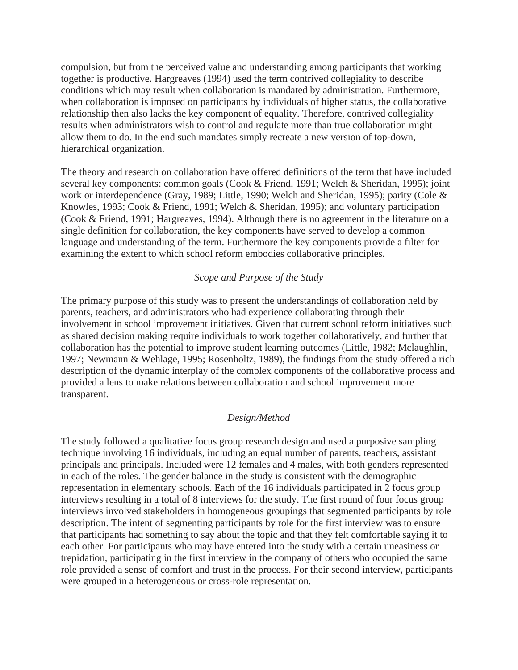compulsion, but from the perceived value and understanding among participants that working together is productive. Hargreaves (1994) used the term contrived collegiality to describe conditions which may result when collaboration is mandated by administration. Furthermore, when collaboration is imposed on participants by individuals of higher status, the collaborative relationship then also lacks the key component of equality. Therefore, contrived collegiality results when administrators wish to control and regulate more than true collaboration might allow them to do. In the end such mandates simply recreate a new version of top-down, hierarchical organization.

The theory and research on collaboration have offered definitions of the term that have included several key components: common goals (Cook & Friend, 1991; Welch & Sheridan, 1995); joint work or interdependence (Gray, 1989; Little, 1990; Welch and Sheridan, 1995); parity (Cole & Knowles, 1993; Cook & Friend, 1991; Welch & Sheridan, 1995); and voluntary participation (Cook & Friend, 1991; Hargreaves, 1994). Although there is no agreement in the literature on a single definition for collaboration, the key components have served to develop a common language and understanding of the term. Furthermore the key components provide a filter for examining the extent to which school reform embodies collaborative principles.

## *Scope and Purpose of the Study*

The primary purpose of this study was to present the understandings of collaboration held by parents, teachers, and administrators who had experience collaborating through their involvement in school improvement initiatives. Given that current school reform initiatives such as shared decision making require individuals to work together collaboratively, and further that collaboration has the potential to improve student learning outcomes (Little, 1982; Mclaughlin, 1997; Newmann & Wehlage, 1995; Rosenholtz, 1989), the findings from the study offered a rich description of the dynamic interplay of the complex components of the collaborative process and provided a lens to make relations between collaboration and school improvement more transparent.

#### *Design/Method*

The study followed a qualitative focus group research design and used a purposive sampling technique involving 16 individuals, including an equal number of parents, teachers, assistant principals and principals. Included were 12 females and 4 males, with both genders represented in each of the roles. The gender balance in the study is consistent with the demographic representation in elementary schools. Each of the 16 individuals participated in 2 focus group interviews resulting in a total of 8 interviews for the study. The first round of four focus group interviews involved stakeholders in homogeneous groupings that segmented participants by role description. The intent of segmenting participants by role for the first interview was to ensure that participants had something to say about the topic and that they felt comfortable saying it to each other. For participants who may have entered into the study with a certain uneasiness or trepidation, participating in the first interview in the company of others who occupied the same role provided a sense of comfort and trust in the process. For their second interview, participants were grouped in a heterogeneous or cross-role representation.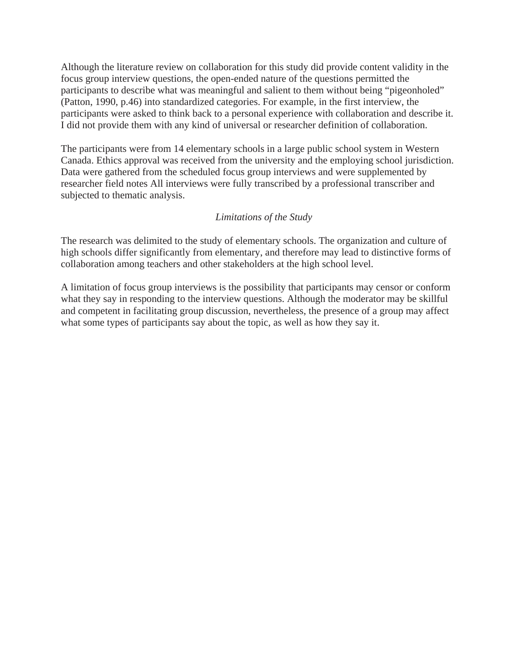Although the literature review on collaboration for this study did provide content validity in the focus group interview questions, the open-ended nature of the questions permitted the participants to describe what was meaningful and salient to them without being "pigeonholed" (Patton, 1990, p.46) into standardized categories. For example, in the first interview, the participants were asked to think back to a personal experience with collaboration and describe it. I did not provide them with any kind of universal or researcher definition of collaboration.

The participants were from 14 elementary schools in a large public school system in Western Canada. Ethics approval was received from the university and the employing school jurisdiction. Data were gathered from the scheduled focus group interviews and were supplemented by researcher field notes All interviews were fully transcribed by a professional transcriber and subjected to thematic analysis.

# *Limitations of the Study*

The research was delimited to the study of elementary schools. The organization and culture of high schools differ significantly from elementary, and therefore may lead to distinctive forms of collaboration among teachers and other stakeholders at the high school level.

A limitation of focus group interviews is the possibility that participants may censor or conform what they say in responding to the interview questions. Although the moderator may be skillful and competent in facilitating group discussion, nevertheless, the presence of a group may affect what some types of participants say about the topic, as well as how they say it.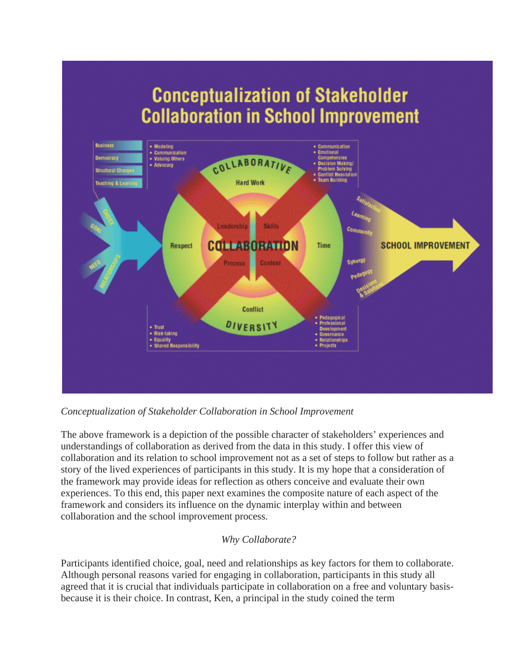# **Conceptualization of Stakeholder Collaboration in School Improvement**



# *Conceptualization of Stakeholder Collaboration in School Improvement*

The above framework is a depiction of the possible character of stakeholders' experiences and understandings of collaboration as derived from the data in this study. I offer this view of collaboration and its relation to school improvement not as a set of steps to follow but rather as a story of the lived experiences of participants in this study. It is my hope that a consideration of the framework may provide ideas for reflection as others conceive and evaluate their own experiences. To this end, this paper next examines the composite nature of each aspect of the framework and considers its influence on the dynamic interplay within and between collaboration and the school improvement process.

# *Why Collaborate?*

Participants identified choice, goal, need and relationships as key factors for them to collaborate. Although personal reasons varied for engaging in collaboration, participants in this study all agreed that it is crucial that individuals participate in collaboration on a free and voluntary basisbecause it is their choice. In contrast, Ken, a principal in the study coined the term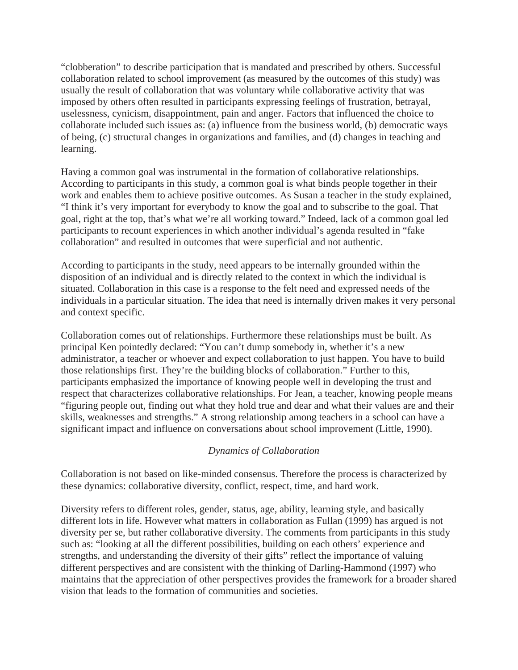"clobberation" to describe participation that is mandated and prescribed by others. Successful collaboration related to school improvement (as measured by the outcomes of this study) was usually the result of collaboration that was voluntary while collaborative activity that was imposed by others often resulted in participants expressing feelings of frustration, betrayal, uselessness, cynicism, disappointment, pain and anger. Factors that influenced the choice to collaborate included such issues as: (a) influence from the business world, (b) democratic ways of being, (c) structural changes in organizations and families, and (d) changes in teaching and learning.

Having a common goal was instrumental in the formation of collaborative relationships. According to participants in this study, a common goal is what binds people together in their work and enables them to achieve positive outcomes. As Susan a teacher in the study explained, "I think it's very important for everybody to know the goal and to subscribe to the goal. That goal, right at the top, that's what we're all working toward." Indeed, lack of a common goal led participants to recount experiences in which another individual's agenda resulted in "fake collaboration" and resulted in outcomes that were superficial and not authentic.

According to participants in the study, need appears to be internally grounded within the disposition of an individual and is directly related to the context in which the individual is situated. Collaboration in this case is a response to the felt need and expressed needs of the individuals in a particular situation. The idea that need is internally driven makes it very personal and context specific.

Collaboration comes out of relationships. Furthermore these relationships must be built. As principal Ken pointedly declared: "You can't dump somebody in, whether it's a new administrator, a teacher or whoever and expect collaboration to just happen. You have to build those relationships first. They're the building blocks of collaboration." Further to this, participants emphasized the importance of knowing people well in developing the trust and respect that characterizes collaborative relationships. For Jean, a teacher, knowing people means "figuring people out, finding out what they hold true and dear and what their values are and their skills, weaknesses and strengths." A strong relationship among teachers in a school can have a significant impact and influence on conversations about school improvement (Little, 1990).

# *Dynamics of Collaboration*

Collaboration is not based on like-minded consensus. Therefore the process is characterized by these dynamics: collaborative diversity, conflict, respect, time, and hard work.

Diversity refers to different roles, gender, status, age, ability, learning style, and basically different lots in life. However what matters in collaboration as Fullan (1999) has argued is not diversity per se, but rather collaborative diversity. The comments from participants in this study such as: "looking at all the different possibilities, building on each others' experience and strengths, and understanding the diversity of their gifts" reflect the importance of valuing different perspectives and are consistent with the thinking of Darling-Hammond (1997) who maintains that the appreciation of other perspectives provides the framework for a broader shared vision that leads to the formation of communities and societies.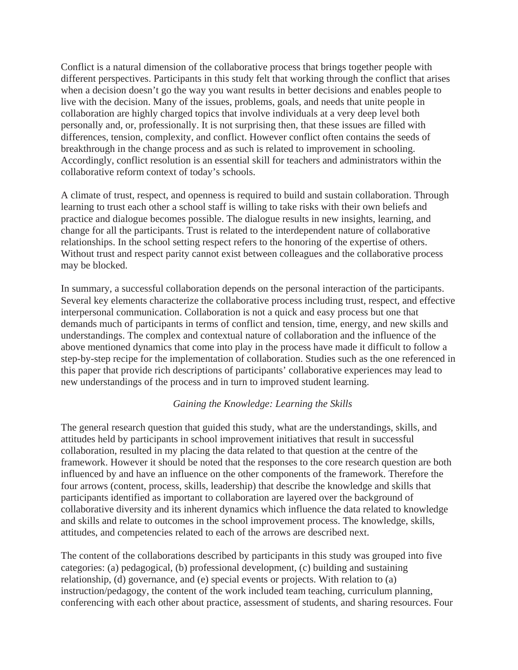Conflict is a natural dimension of the collaborative process that brings together people with different perspectives. Participants in this study felt that working through the conflict that arises when a decision doesn't go the way you want results in better decisions and enables people to live with the decision. Many of the issues, problems, goals, and needs that unite people in collaboration are highly charged topics that involve individuals at a very deep level both personally and, or, professionally. It is not surprising then, that these issues are filled with differences, tension, complexity, and conflict. However conflict often contains the seeds of breakthrough in the change process and as such is related to improvement in schooling. Accordingly, conflict resolution is an essential skill for teachers and administrators within the collaborative reform context of today's schools.

A climate of trust, respect, and openness is required to build and sustain collaboration. Through learning to trust each other a school staff is willing to take risks with their own beliefs and practice and dialogue becomes possible. The dialogue results in new insights, learning, and change for all the participants. Trust is related to the interdependent nature of collaborative relationships. In the school setting respect refers to the honoring of the expertise of others. Without trust and respect parity cannot exist between colleagues and the collaborative process may be blocked.

In summary, a successful collaboration depends on the personal interaction of the participants. Several key elements characterize the collaborative process including trust, respect, and effective interpersonal communication. Collaboration is not a quick and easy process but one that demands much of participants in terms of conflict and tension, time, energy, and new skills and understandings. The complex and contextual nature of collaboration and the influence of the above mentioned dynamics that come into play in the process have made it difficult to follow a step-by-step recipe for the implementation of collaboration. Studies such as the one referenced in this paper that provide rich descriptions of participants' collaborative experiences may lead to new understandings of the process and in turn to improved student learning.

## *Gaining the Knowledge: Learning the Skills*

The general research question that guided this study, what are the understandings, skills, and attitudes held by participants in school improvement initiatives that result in successful collaboration, resulted in my placing the data related to that question at the centre of the framework. However it should be noted that the responses to the core research question are both influenced by and have an influence on the other components of the framework. Therefore the four arrows (content, process, skills, leadership) that describe the knowledge and skills that participants identified as important to collaboration are layered over the background of collaborative diversity and its inherent dynamics which influence the data related to knowledge and skills and relate to outcomes in the school improvement process. The knowledge, skills, attitudes, and competencies related to each of the arrows are described next.

The content of the collaborations described by participants in this study was grouped into five categories: (a) pedagogical, (b) professional development, (c) building and sustaining relationship, (d) governance, and (e) special events or projects. With relation to (a) instruction/pedagogy, the content of the work included team teaching, curriculum planning, conferencing with each other about practice, assessment of students, and sharing resources. Four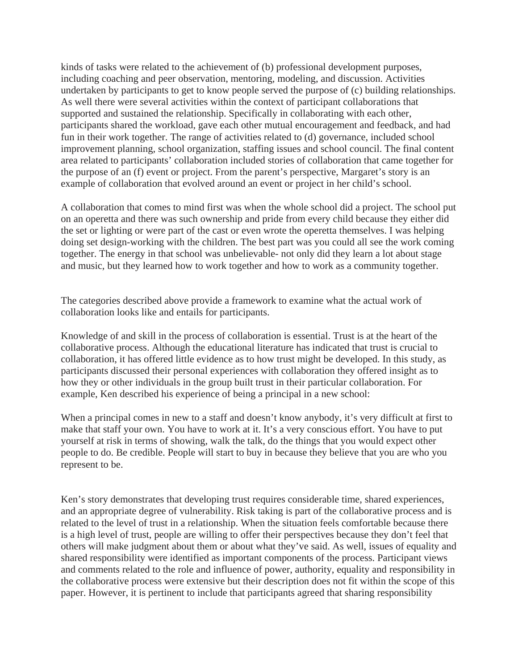kinds of tasks were related to the achievement of (b) professional development purposes, including coaching and peer observation, mentoring, modeling, and discussion. Activities undertaken by participants to get to know people served the purpose of (c) building relationships. As well there were several activities within the context of participant collaborations that supported and sustained the relationship. Specifically in collaborating with each other, participants shared the workload, gave each other mutual encouragement and feedback, and had fun in their work together. The range of activities related to (d) governance, included school improvement planning, school organization, staffing issues and school council. The final content area related to participants' collaboration included stories of collaboration that came together for the purpose of an (f) event or project. From the parent's perspective, Margaret's story is an example of collaboration that evolved around an event or project in her child's school.

A collaboration that comes to mind first was when the whole school did a project. The school put on an operetta and there was such ownership and pride from every child because they either did the set or lighting or were part of the cast or even wrote the operetta themselves. I was helping doing set design-working with the children. The best part was you could all see the work coming together. The energy in that school was unbelievable- not only did they learn a lot about stage and music, but they learned how to work together and how to work as a community together.

The categories described above provide a framework to examine what the actual work of collaboration looks like and entails for participants.

Knowledge of and skill in the process of collaboration is essential. Trust is at the heart of the collaborative process. Although the educational literature has indicated that trust is crucial to collaboration, it has offered little evidence as to how trust might be developed. In this study, as participants discussed their personal experiences with collaboration they offered insight as to how they or other individuals in the group built trust in their particular collaboration. For example, Ken described his experience of being a principal in a new school:

When a principal comes in new to a staff and doesn't know anybody, it's very difficult at first to make that staff your own. You have to work at it. It's a very conscious effort. You have to put yourself at risk in terms of showing, walk the talk, do the things that you would expect other people to do. Be credible. People will start to buy in because they believe that you are who you represent to be.

Ken's story demonstrates that developing trust requires considerable time, shared experiences, and an appropriate degree of vulnerability. Risk taking is part of the collaborative process and is related to the level of trust in a relationship. When the situation feels comfortable because there is a high level of trust, people are willing to offer their perspectives because they don't feel that others will make judgment about them or about what they've said. As well, issues of equality and shared responsibility were identified as important components of the process. Participant views and comments related to the role and influence of power, authority, equality and responsibility in the collaborative process were extensive but their description does not fit within the scope of this paper. However, it is pertinent to include that participants agreed that sharing responsibility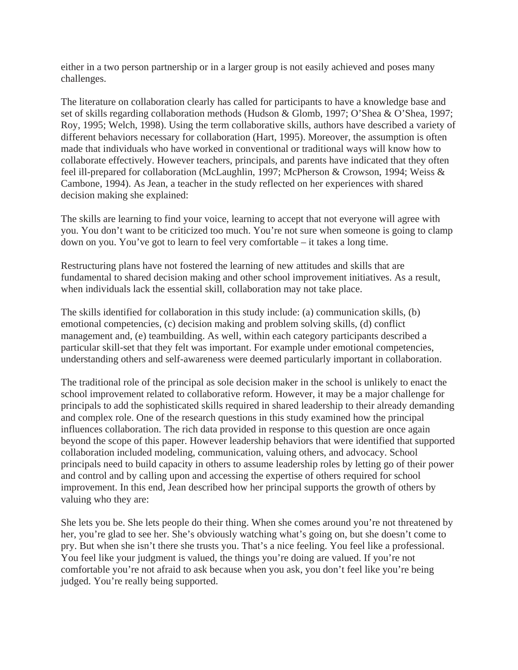either in a two person partnership or in a larger group is not easily achieved and poses many challenges.

The literature on collaboration clearly has called for participants to have a knowledge base and set of skills regarding collaboration methods (Hudson & Glomb, 1997; O'Shea & O'Shea, 1997; Roy, 1995; Welch, 1998). Using the term collaborative skills, authors have described a variety of different behaviors necessary for collaboration (Hart, 1995). Moreover, the assumption is often made that individuals who have worked in conventional or traditional ways will know how to collaborate effectively. However teachers, principals, and parents have indicated that they often feel ill-prepared for collaboration (McLaughlin, 1997; McPherson & Crowson, 1994; Weiss & Cambone, 1994). As Jean, a teacher in the study reflected on her experiences with shared decision making she explained:

The skills are learning to find your voice, learning to accept that not everyone will agree with you. You don't want to be criticized too much. You're not sure when someone is going to clamp down on you. You've got to learn to feel very comfortable – it takes a long time.

Restructuring plans have not fostered the learning of new attitudes and skills that are fundamental to shared decision making and other school improvement initiatives. As a result, when individuals lack the essential skill, collaboration may not take place.

The skills identified for collaboration in this study include: (a) communication skills, (b) emotional competencies, (c) decision making and problem solving skills, (d) conflict management and, (e) teambuilding. As well, within each category participants described a particular skill-set that they felt was important. For example under emotional competencies, understanding others and self-awareness were deemed particularly important in collaboration.

The traditional role of the principal as sole decision maker in the school is unlikely to enact the school improvement related to collaborative reform. However, it may be a major challenge for principals to add the sophisticated skills required in shared leadership to their already demanding and complex role. One of the research questions in this study examined how the principal influences collaboration. The rich data provided in response to this question are once again beyond the scope of this paper. However leadership behaviors that were identified that supported collaboration included modeling, communication, valuing others, and advocacy. School principals need to build capacity in others to assume leadership roles by letting go of their power and control and by calling upon and accessing the expertise of others required for school improvement. In this end, Jean described how her principal supports the growth of others by valuing who they are:

She lets you be. She lets people do their thing. When she comes around you're not threatened by her, you're glad to see her. She's obviously watching what's going on, but she doesn't come to pry. But when she isn't there she trusts you. That's a nice feeling. You feel like a professional. You feel like your judgment is valued, the things you're doing are valued. If you're not comfortable you're not afraid to ask because when you ask, you don't feel like you're being judged. You're really being supported.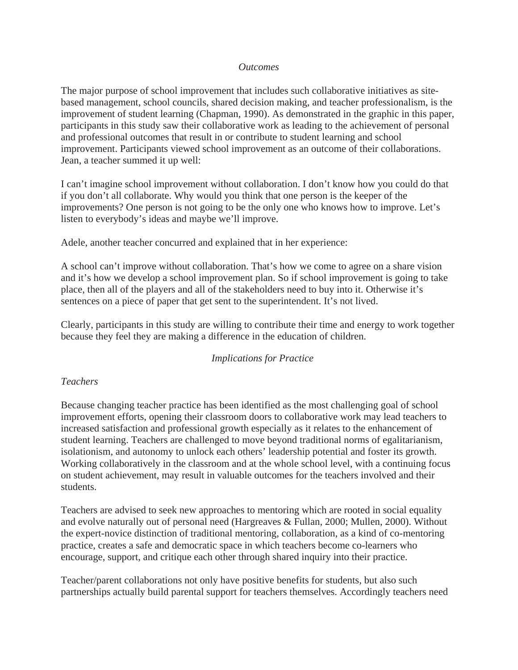#### *Outcomes*

The major purpose of school improvement that includes such collaborative initiatives as sitebased management, school councils, shared decision making, and teacher professionalism, is the improvement of student learning (Chapman, 1990). As demonstrated in the graphic in this paper, participants in this study saw their collaborative work as leading to the achievement of personal and professional outcomes that result in or contribute to student learning and school improvement. Participants viewed school improvement as an outcome of their collaborations. Jean, a teacher summed it up well:

I can't imagine school improvement without collaboration. I don't know how you could do that if you don't all collaborate. Why would you think that one person is the keeper of the improvements? One person is not going to be the only one who knows how to improve. Let's listen to everybody's ideas and maybe we'll improve.

Adele, another teacher concurred and explained that in her experience:

A school can't improve without collaboration. That's how we come to agree on a share vision and it's how we develop a school improvement plan. So if school improvement is going to take place, then all of the players and all of the stakeholders need to buy into it. Otherwise it's sentences on a piece of paper that get sent to the superintendent. It's not lived.

Clearly, participants in this study are willing to contribute their time and energy to work together because they feel they are making a difference in the education of children.

## *Implications for Practice*

## *Teachers*

Because changing teacher practice has been identified as the most challenging goal of school improvement efforts, opening their classroom doors to collaborative work may lead teachers to increased satisfaction and professional growth especially as it relates to the enhancement of student learning. Teachers are challenged to move beyond traditional norms of egalitarianism, isolationism, and autonomy to unlock each others' leadership potential and foster its growth. Working collaboratively in the classroom and at the whole school level, with a continuing focus on student achievement, may result in valuable outcomes for the teachers involved and their students.

Teachers are advised to seek new approaches to mentoring which are rooted in social equality and evolve naturally out of personal need (Hargreaves & Fullan, 2000; Mullen, 2000). Without the expert-novice distinction of traditional mentoring, collaboration, as a kind of co-mentoring practice, creates a safe and democratic space in which teachers become co-learners who encourage, support, and critique each other through shared inquiry into their practice.

Teacher/parent collaborations not only have positive benefits for students, but also such partnerships actually build parental support for teachers themselves. Accordingly teachers need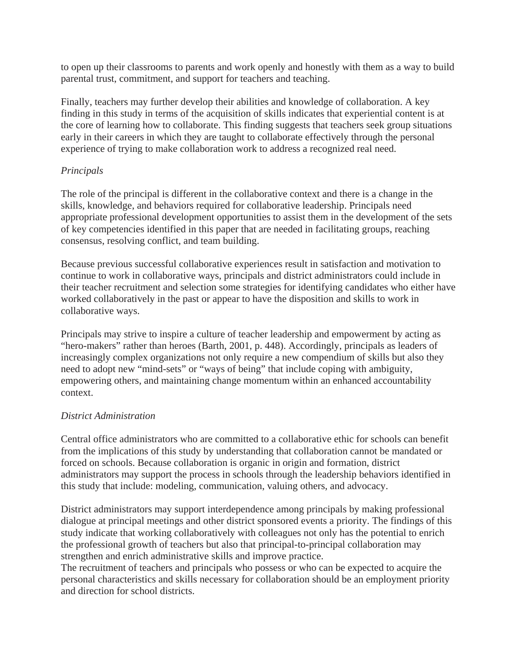to open up their classrooms to parents and work openly and honestly with them as a way to build parental trust, commitment, and support for teachers and teaching.

Finally, teachers may further develop their abilities and knowledge of collaboration. A key finding in this study in terms of the acquisition of skills indicates that experiential content is at the core of learning how to collaborate. This finding suggests that teachers seek group situations early in their careers in which they are taught to collaborate effectively through the personal experience of trying to make collaboration work to address a recognized real need.

# *Principals*

The role of the principal is different in the collaborative context and there is a change in the skills, knowledge, and behaviors required for collaborative leadership. Principals need appropriate professional development opportunities to assist them in the development of the sets of key competencies identified in this paper that are needed in facilitating groups, reaching consensus, resolving conflict, and team building.

Because previous successful collaborative experiences result in satisfaction and motivation to continue to work in collaborative ways, principals and district administrators could include in their teacher recruitment and selection some strategies for identifying candidates who either have worked collaboratively in the past or appear to have the disposition and skills to work in collaborative ways.

Principals may strive to inspire a culture of teacher leadership and empowerment by acting as "hero-makers" rather than heroes (Barth, 2001, p. 448). Accordingly, principals as leaders of increasingly complex organizations not only require a new compendium of skills but also they need to adopt new "mind-sets" or "ways of being" that include coping with ambiguity, empowering others, and maintaining change momentum within an enhanced accountability context.

# *District Administration*

Central office administrators who are committed to a collaborative ethic for schools can benefit from the implications of this study by understanding that collaboration cannot be mandated or forced on schools. Because collaboration is organic in origin and formation, district administrators may support the process in schools through the leadership behaviors identified in this study that include: modeling, communication, valuing others, and advocacy.

District administrators may support interdependence among principals by making professional dialogue at principal meetings and other district sponsored events a priority. The findings of this study indicate that working collaboratively with colleagues not only has the potential to enrich the professional growth of teachers but also that principal-to-principal collaboration may strengthen and enrich administrative skills and improve practice.

The recruitment of teachers and principals who possess or who can be expected to acquire the personal characteristics and skills necessary for collaboration should be an employment priority and direction for school districts.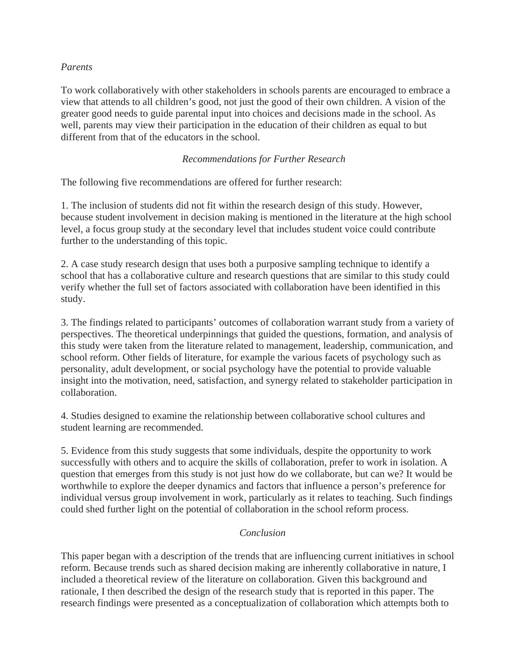# *Parents*

To work collaboratively with other stakeholders in schools parents are encouraged to embrace a view that attends to all children's good, not just the good of their own children. A vision of the greater good needs to guide parental input into choices and decisions made in the school. As well, parents may view their participation in the education of their children as equal to but different from that of the educators in the school.

# *Recommendations for Further Research*

The following five recommendations are offered for further research:

1. The inclusion of students did not fit within the research design of this study. However, because student involvement in decision making is mentioned in the literature at the high school level, a focus group study at the secondary level that includes student voice could contribute further to the understanding of this topic.

2. A case study research design that uses both a purposive sampling technique to identify a school that has a collaborative culture and research questions that are similar to this study could verify whether the full set of factors associated with collaboration have been identified in this study.

3. The findings related to participants' outcomes of collaboration warrant study from a variety of perspectives. The theoretical underpinnings that guided the questions, formation, and analysis of this study were taken from the literature related to management, leadership, communication, and school reform. Other fields of literature, for example the various facets of psychology such as personality, adult development, or social psychology have the potential to provide valuable insight into the motivation, need, satisfaction, and synergy related to stakeholder participation in collaboration.

4. Studies designed to examine the relationship between collaborative school cultures and student learning are recommended.

5. Evidence from this study suggests that some individuals, despite the opportunity to work successfully with others and to acquire the skills of collaboration, prefer to work in isolation. A question that emerges from this study is not just how do we collaborate, but can we? It would be worthwhile to explore the deeper dynamics and factors that influence a person's preference for individual versus group involvement in work, particularly as it relates to teaching. Such findings could shed further light on the potential of collaboration in the school reform process.

## *Conclusion*

This paper began with a description of the trends that are influencing current initiatives in school reform. Because trends such as shared decision making are inherently collaborative in nature, I included a theoretical review of the literature on collaboration. Given this background and rationale, I then described the design of the research study that is reported in this paper. The research findings were presented as a conceptualization of collaboration which attempts both to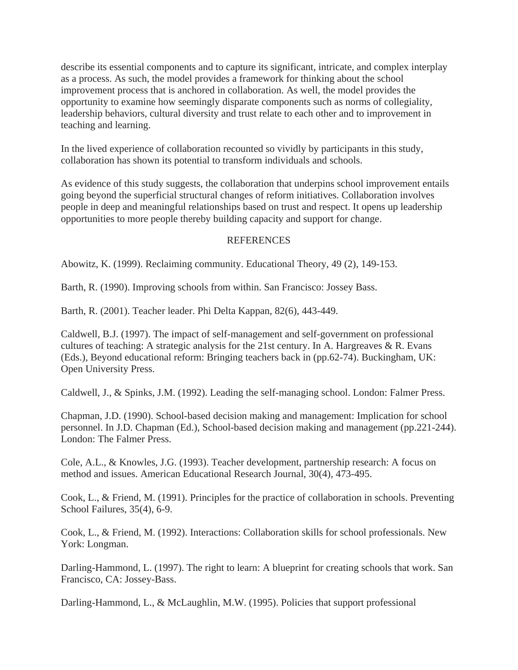describe its essential components and to capture its significant, intricate, and complex interplay as a process. As such, the model provides a framework for thinking about the school improvement process that is anchored in collaboration. As well, the model provides the opportunity to examine how seemingly disparate components such as norms of collegiality, leadership behaviors, cultural diversity and trust relate to each other and to improvement in teaching and learning.

In the lived experience of collaboration recounted so vividly by participants in this study, collaboration has shown its potential to transform individuals and schools.

As evidence of this study suggests, the collaboration that underpins school improvement entails going beyond the superficial structural changes of reform initiatives. Collaboration involves people in deep and meaningful relationships based on trust and respect. It opens up leadership opportunities to more people thereby building capacity and support for change.

## REFERENCES

Abowitz, K. (1999). Reclaiming community. Educational Theory, 49 (2), 149-153.

Barth, R. (1990). Improving schools from within. San Francisco: Jossey Bass.

Barth, R. (2001). Teacher leader. Phi Delta Kappan, 82(6), 443-449.

Caldwell, B.J. (1997). The impact of self-management and self-government on professional cultures of teaching: A strategic analysis for the 21st century. In A. Hargreaves & R. Evans (Eds.), Beyond educational reform: Bringing teachers back in (pp.62-74). Buckingham, UK: Open University Press.

Caldwell, J., & Spinks, J.M. (1992). Leading the self-managing school. London: Falmer Press.

Chapman, J.D. (1990). School-based decision making and management: Implication for school personnel. In J.D. Chapman (Ed.), School-based decision making and management (pp.221-244). London: The Falmer Press.

Cole, A.L., & Knowles, J.G. (1993). Teacher development, partnership research: A focus on method and issues. American Educational Research Journal, 30(4), 473-495.

Cook, L., & Friend, M. (1991). Principles for the practice of collaboration in schools. Preventing School Failures, 35(4), 6-9.

Cook, L., & Friend, M. (1992). Interactions: Collaboration skills for school professionals. New York: Longman.

Darling-Hammond, L. (1997). The right to learn: A blueprint for creating schools that work. San Francisco, CA: Jossey-Bass.

Darling-Hammond, L., & McLaughlin, M.W. (1995). Policies that support professional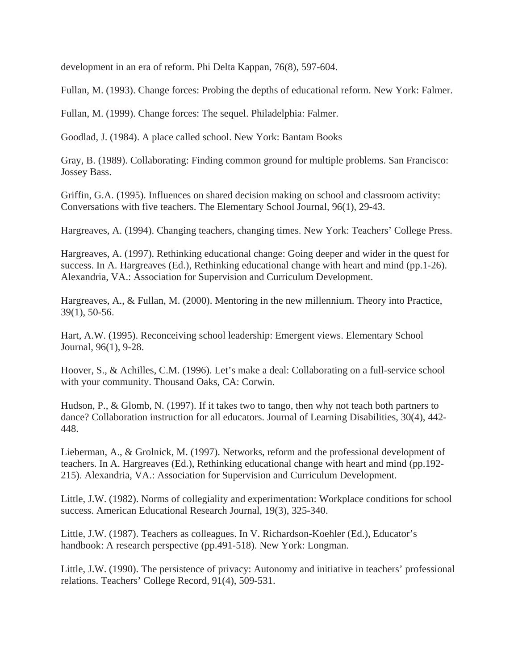development in an era of reform. Phi Delta Kappan, 76(8), 597-604.

Fullan, M. (1993). Change forces: Probing the depths of educational reform. New York: Falmer.

Fullan, M. (1999). Change forces: The sequel. Philadelphia: Falmer.

Goodlad, J. (1984). A place called school. New York: Bantam Books

Gray, B. (1989). Collaborating: Finding common ground for multiple problems. San Francisco: Jossey Bass.

Griffin, G.A. (1995). Influences on shared decision making on school and classroom activity: Conversations with five teachers. The Elementary School Journal, 96(1), 29-43.

Hargreaves, A. (1994). Changing teachers, changing times. New York: Teachers' College Press.

Hargreaves, A. (1997). Rethinking educational change: Going deeper and wider in the quest for success. In A. Hargreaves (Ed.), Rethinking educational change with heart and mind (pp.1-26). Alexandria, VA.: Association for Supervision and Curriculum Development.

Hargreaves, A., & Fullan, M. (2000). Mentoring in the new millennium. Theory into Practice, 39(1), 50-56.

Hart, A.W. (1995). Reconceiving school leadership: Emergent views. Elementary School Journal, 96(1), 9-28.

Hoover, S., & Achilles, C.M. (1996). Let's make a deal: Collaborating on a full-service school with your community. Thousand Oaks, CA: Corwin.

Hudson, P., & Glomb, N. (1997). If it takes two to tango, then why not teach both partners to dance? Collaboration instruction for all educators. Journal of Learning Disabilities, 30(4), 442- 448.

Lieberman, A., & Grolnick, M. (1997). Networks, reform and the professional development of teachers. In A. Hargreaves (Ed.), Rethinking educational change with heart and mind (pp.192- 215). Alexandria, VA.: Association for Supervision and Curriculum Development.

Little, J.W. (1982). Norms of collegiality and experimentation: Workplace conditions for school success. American Educational Research Journal, 19(3), 325-340.

Little, J.W. (1987). Teachers as colleagues. In V. Richardson-Koehler (Ed.), Educator's handbook: A research perspective (pp.491-518). New York: Longman.

Little, J.W. (1990). The persistence of privacy: Autonomy and initiative in teachers' professional relations. Teachers' College Record, 91(4), 509-531.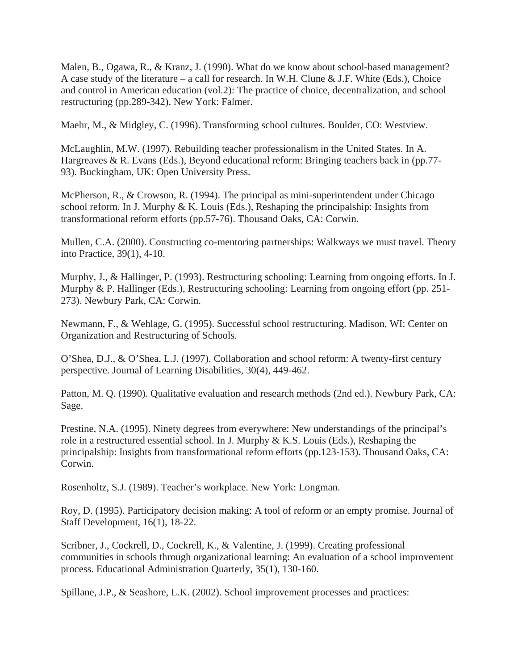Malen, B., Ogawa, R., & Kranz, J. (1990). What do we know about school-based management? A case study of the literature – a call for research. In W.H. Clune & J.F. White (Eds.), Choice and control in American education (vol.2): The practice of choice, decentralization, and school restructuring (pp.289-342). New York: Falmer.

Maehr, M., & Midgley, C. (1996). Transforming school cultures. Boulder, CO: Westview.

McLaughlin, M.W. (1997). Rebuilding teacher professionalism in the United States. In A. Hargreaves & R. Evans (Eds.), Beyond educational reform: Bringing teachers back in (pp.77- 93). Buckingham, UK: Open University Press.

McPherson, R., & Crowson, R. (1994). The principal as mini-superintendent under Chicago school reform. In J. Murphy & K. Louis (Eds.), Reshaping the principalship: Insights from transformational reform efforts (pp.57-76). Thousand Oaks, CA: Corwin.

Mullen, C.A. (2000). Constructing co-mentoring partnerships: Walkways we must travel. Theory into Practice, 39(1), 4-10.

Murphy, J., & Hallinger, P. (1993). Restructuring schooling: Learning from ongoing efforts. In J. Murphy & P. Hallinger (Eds.), Restructuring schooling: Learning from ongoing effort (pp. 251- 273). Newbury Park, CA: Corwin.

Newmann, F., & Wehlage, G. (1995). Successful school restructuring. Madison, WI: Center on Organization and Restructuring of Schools.

O'Shea, D.J., & O'Shea, L.J. (1997). Collaboration and school reform: A twenty-first century perspective. Journal of Learning Disabilities, 30(4), 449-462.

Patton, M. Q. (1990). Qualitative evaluation and research methods (2nd ed.). Newbury Park, CA: Sage.

Prestine, N.A. (1995). Ninety degrees from everywhere: New understandings of the principal's role in a restructured essential school. In J. Murphy & K.S. Louis (Eds.), Reshaping the principalship: Insights from transformational reform efforts (pp.123-153). Thousand Oaks, CA: Corwin.

Rosenholtz, S.J. (1989). Teacher's workplace. New York: Longman.

Roy, D. (1995). Participatory decision making: A tool of reform or an empty promise. Journal of Staff Development, 16(1), 18-22.

Scribner, J., Cockrell, D., Cockrell, K., & Valentine, J. (1999). Creating professional communities in schools through organizational learning: An evaluation of a school improvement process. Educational Administration Quarterly, 35(1), 130-160.

Spillane, J.P., & Seashore, L.K. (2002). School improvement processes and practices: